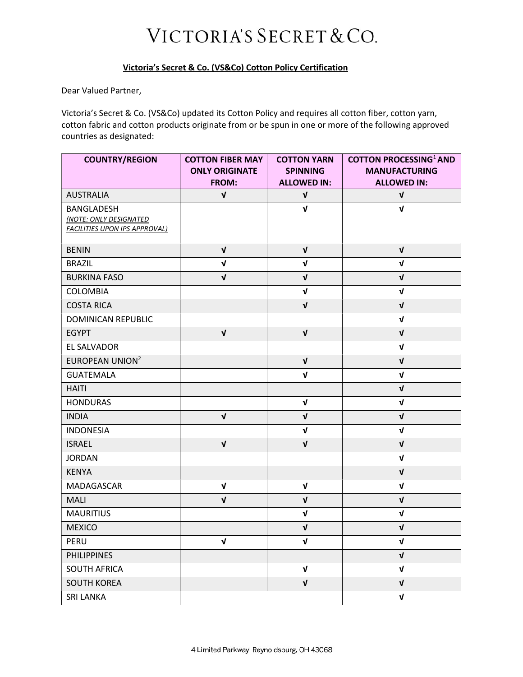## VICTORIA'S SECRET & CO.

## Victoria's Secret & Co. (VS&Co) Cotton Policy Certification

Dear Valued Partner,

Victoria's Secret & Co. (VS&Co) updated its Cotton Policy and requires all cotton fiber, cotton yarn, cotton fabric and cotton products originate from or be spun in one or more of the following approved countries as designated:

| <b>COUNTRY/REGION</b>                                          | <b>COTTON FIBER MAY</b><br><b>ONLY ORIGINATE</b> | <b>COTTON YARN</b><br><b>SPINNING</b> | <b>COTTON PROCESSING<sup>1</sup> AND</b><br><b>MANUFACTURING</b> |
|----------------------------------------------------------------|--------------------------------------------------|---------------------------------------|------------------------------------------------------------------|
|                                                                | FROM:                                            | <b>ALLOWED IN:</b>                    | <b>ALLOWED IN:</b>                                               |
| <b>AUSTRALIA</b>                                               | $\mathbf v$                                      | $\mathbf v$                           | $\mathbf{V}$                                                     |
| <b>BANGLADESH</b>                                              |                                                  | $\sqrt{ }$                            | $\mathbf{v}$                                                     |
| (NOTE: ONLY DESIGNATED<br><b>FACILITIES UPON IPS APPROVAL)</b> |                                                  |                                       |                                                                  |
|                                                                |                                                  |                                       |                                                                  |
| <b>BENIN</b>                                                   | $\mathbf{V}$                                     | $\mathbf{V}$                          | $\mathbf{V}$                                                     |
| <b>BRAZIL</b>                                                  | $\mathbf{v}$                                     | $\mathbf{v}$                          | $\mathbf{v}$                                                     |
| <b>BURKINA FASO</b>                                            | $\sqrt{ }$                                       | $\mathbf{v}$                          | $\mathbf{v}$                                                     |
| COLOMBIA                                                       |                                                  | $\mathbf{v}$                          | $\mathbf{v}$                                                     |
| <b>COSTA RICA</b>                                              |                                                  | $\mathbf{v}$                          | $\mathbf{v}$                                                     |
| DOMINICAN REPUBLIC                                             |                                                  |                                       | $\mathbf{v}$                                                     |
| <b>EGYPT</b>                                                   | $\mathbf{v}$                                     | $\mathbf{v}$                          | $\mathbf{V}$                                                     |
| EL SALVADOR                                                    |                                                  |                                       | $\mathbf{v}$                                                     |
| <b>EUROPEAN UNION<sup>2</sup></b>                              |                                                  | $\mathbf{v}$                          | $\mathbf{v}$                                                     |
| <b>GUATEMALA</b>                                               |                                                  | $\sqrt{ }$                            | $\mathbf v$                                                      |
| <b>HAITI</b>                                                   |                                                  |                                       | $\mathbf{v}$                                                     |
| <b>HONDURAS</b>                                                |                                                  | $\sqrt{ }$                            | $\sqrt{ }$                                                       |
| <b>INDIA</b>                                                   | $\mathbf{V}$                                     | $\sqrt{ }$                            | $\mathbf{V}$                                                     |
| <b>INDONESIA</b>                                               |                                                  | $\sqrt{ }$                            | $\mathbf{v}$                                                     |
| <b>ISRAEL</b>                                                  | $\mathbf{v}$                                     | $\mathbf{V}$                          | $\mathbf{V}$                                                     |
| <b>JORDAN</b>                                                  |                                                  |                                       | $\mathbf v$                                                      |
| <b>KENYA</b>                                                   |                                                  |                                       | $\mathbf{v}$                                                     |
| MADAGASCAR                                                     | $\mathbf{v}$                                     | $\mathbf{v}$                          | $\mathbf v$                                                      |
| <b>MALI</b>                                                    | $\mathbf{v}$                                     | $\mathbf{v}$                          | $\mathbf{V}$                                                     |
| <b>MAURITIUS</b>                                               |                                                  | $\mathbf{v}$                          | $\mathbf v$                                                      |
| <b>MEXICO</b>                                                  |                                                  | $\sqrt{ }$                            | $\sqrt{ }$                                                       |
| PERU                                                           | $\pmb{\mathsf{v}}$                               | $\mathbf v$                           | $\mathbf v$                                                      |
| <b>PHILIPPINES</b>                                             |                                                  |                                       | $\mathbf{V}$                                                     |
| <b>SOUTH AFRICA</b>                                            |                                                  | $\mathbf{v}$                          | $\mathbf{V}$                                                     |
| <b>SOUTH KOREA</b>                                             |                                                  | $\sqrt{ }$                            | $\sqrt{ }$                                                       |
| <b>SRI LANKA</b>                                               |                                                  |                                       | $\mathbf{V}$                                                     |